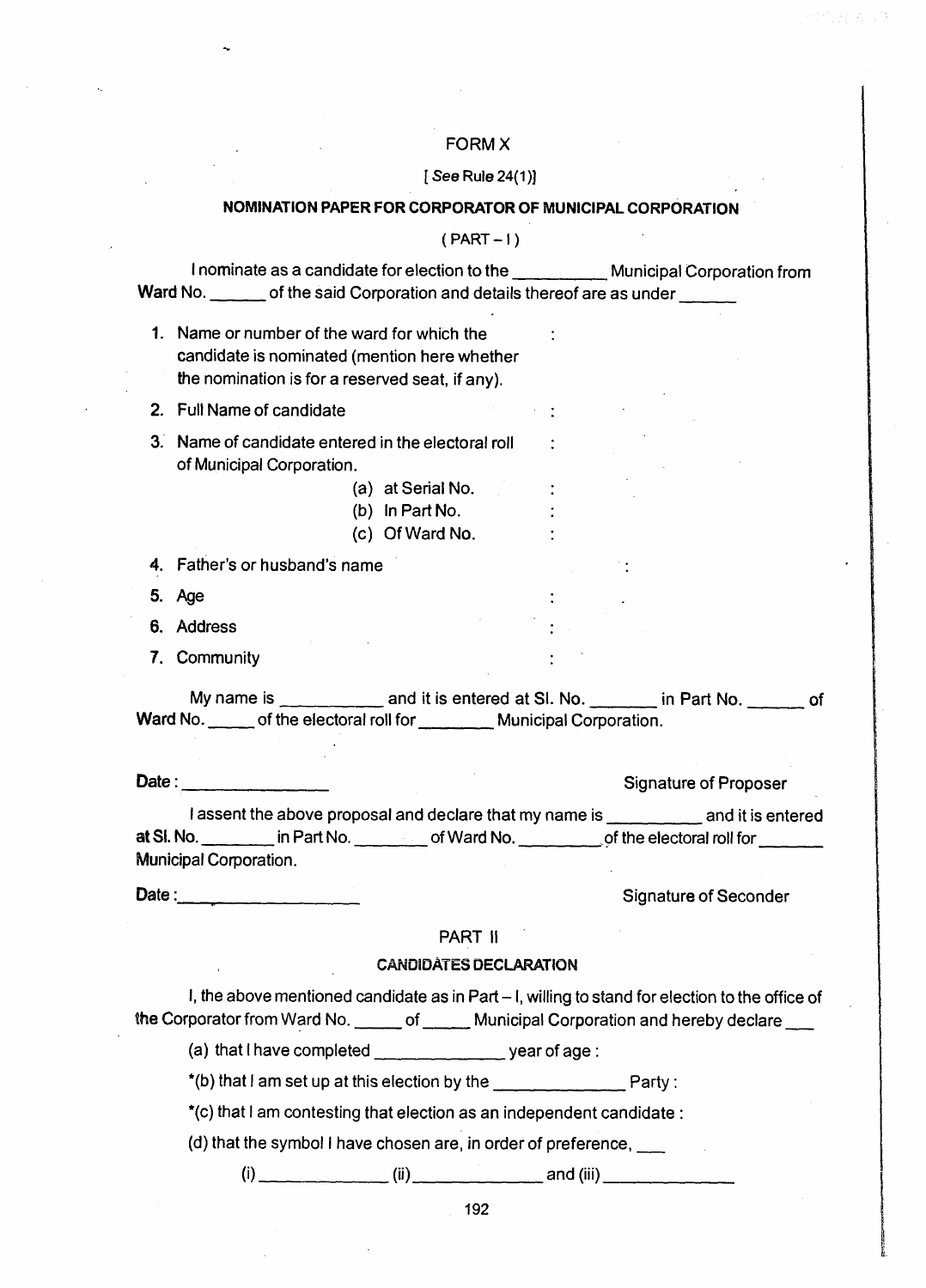# FORMX

#### [See Rule 24(1)]

#### NOMINATION PAPER FOR CORPORATOR OF MUNICIPAL CORPORATION

 $(PART-1)$ 

I nominate as a candidate for election to the\_\_\_\_\_\_\_\_\_\_\_ Municipal Corporation from Ward No. \_\_\_\_\_\_\_ of the said Corporation and details thereof are as under \_\_\_

1. Name or number of the ward for which the candidate is nominated (mention here whether the nomination is for a reserved seat, if any).

2. Full Name of candidate

- 3. Name of candidate entered in the electoral roll of Municipal Corporation.
	- (a) at Serial No.
	- (b) In Part No.
	- (c) Of Ward No.

4. Father's or husband's name

- 5. Age
- 6. Address
- 7. Community

My name is \_\_\_\_\_\_\_\_\_\_\_\_\_ and it is entered at SI. No. \_\_\_\_\_\_\_ in Part No. \_\_\_\_\_\_ of Ward No. \_\_\_\_\_\_ of the electoral roll for \_\_\_\_\_\_\_\_\_ Municipal Corporation.

Date:\_\_\_\_\_\_\_\_\_\_\_\_\_\_\_\_\_ Signature of Proposer I assent the above proposal and declare that my name is example and it is entered at SI. No. \_\_\_\_\_\_\_\_\_ in Part No. \_\_\_\_\_\_\_\_ of Ward No. \_\_\_\_\_\_\_\_\_ of the electoral roll for

Municipal Corporation.

Date: \_\_\_\_\_\_\_\_\_\_\_\_\_\_\_\_\_ Signature of Seconder

## PART II

## CANDIDATES DECLARATION

I, the above mentioned candidate as in Part  $-1$ , willing to stand for election to the office of the Corporator from Ward No. \_\_\_\_\_ of \_\_\_\_\_ Municipal Corporation and hereby declare \_\_\_

(a) that I have completed year of age :

 $*(b)$  that I am set up at this election by the  $\Box$ 

\*(c) that I am contesting that election as an independent candidate :

(d) that the symbol I have chosen are, in order of preference,\_\_

(i)\_\_\_\_\_\_\_\_\_\_\_\_\_\_\_ (ii)\_\_\_\_\_\_\_\_\_\_\_\_\_\_\_\_and (iii)\_\_\_\_\_\_\_\_\_\_\_\_\_\_\_\_